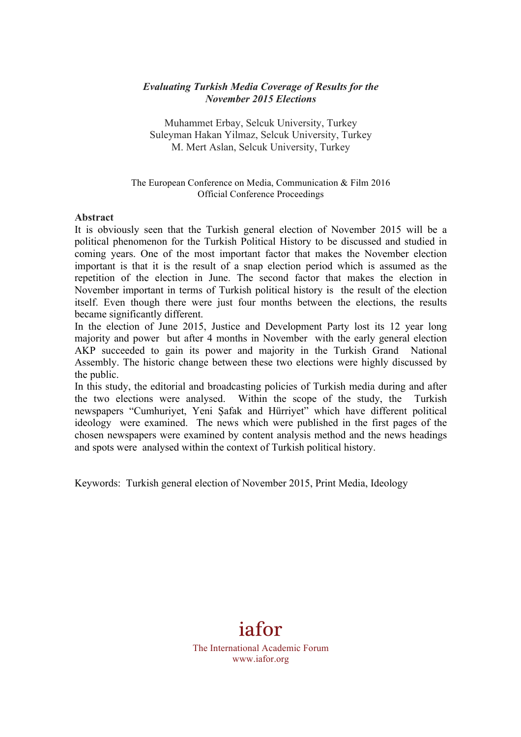## *Evaluating Turkish Media Coverage of Results for the November 2015 Elections*

Muhammet Erbay, Selcuk University, Turkey Suleyman Hakan Yilmaz, Selcuk University, Turkey M. Mert Aslan, Selcuk University, Turkey

The European Conference on Media, Communication & Film 2016 Official Conference Proceedings

#### **Abstract**

It is obviously seen that the Turkish general election of November 2015 will be a political phenomenon for the Turkish Political History to be discussed and studied in coming years. One of the most important factor that makes the November election important is that it is the result of a snap election period which is assumed as the repetition of the election in June. The second factor that makes the election in November important in terms of Turkish political history is the result of the election itself. Even though there were just four months between the elections, the results became significantly different.

In the election of June 2015, Justice and Development Party lost its 12 year long majority and power but after 4 months in November with the early general election AKP succeeded to gain its power and majority in the Turkish Grand National Assembly. The historic change between these two elections were highly discussed by the public.

In this study, the editorial and broadcasting policies of Turkish media during and after the two elections were analysed. Within the scope of the study, the Turkish newspapers "Cumhuriyet, Yeni Şafak and Hürriyet" which have different political ideology were examined. The news which were published in the first pages of the chosen newspapers were examined by content analysis method and the news headings and spots were analysed within the context of Turkish political history.

Keywords: Turkish general election of November 2015, Print Media, Ideology



The International Academic Forum www.iafor.org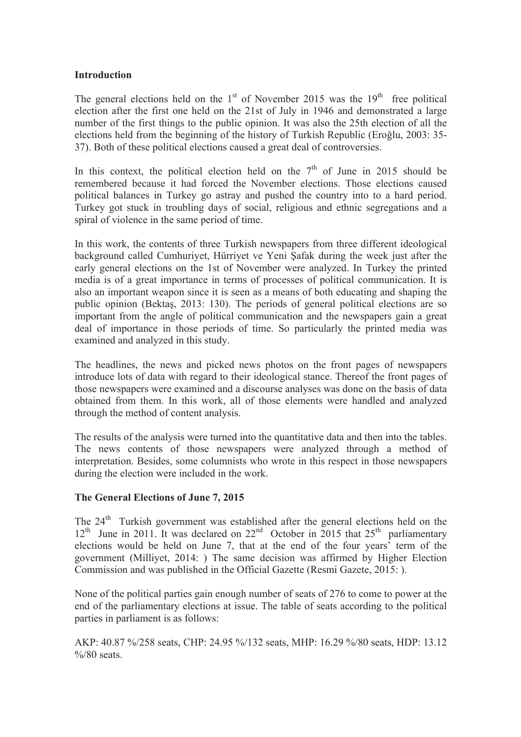## **Introduction**

The general elections held on the  $1<sup>st</sup>$  of November 2015 was the  $19<sup>th</sup>$  free political election after the first one held on the 21st of July in 1946 and demonstrated a large number of the first things to the public opinion. It was also the 25th election of all the elections held from the beginning of the history of Turkish Republic (Eroğlu, 2003: 35- 37). Both of these political elections caused a great deal of controversies.

In this context, the political election held on the  $7<sup>th</sup>$  of June in 2015 should be remembered because it had forced the November elections. Those elections caused political balances in Turkey go astray and pushed the country into to a hard period. Turkey got stuck in troubling days of social, religious and ethnic segregations and a spiral of violence in the same period of time.

In this work, the contents of three Turkish newspapers from three different ideological background called Cumhuriyet, Hürriyet ve Yeni Şafak during the week just after the early general elections on the 1st of November were analyzed. In Turkey the printed media is of a great importance in terms of processes of political communication. It is also an important weapon since it is seen as a means of both educating and shaping the public opinion (Bektaş, 2013: 130). The periods of general political elections are so important from the angle of political communication and the newspapers gain a great deal of importance in those periods of time. So particularly the printed media was examined and analyzed in this study.

The headlines, the news and picked news photos on the front pages of newspapers introduce lots of data with regard to their ideological stance. Thereof the front pages of those newspapers were examined and a discourse analyses was done on the basis of data obtained from them. In this work, all of those elements were handled and analyzed through the method of content analysis.

The results of the analysis were turned into the quantitative data and then into the tables. The news contents of those newspapers were analyzed through a method of interpretation. Besides, some columnists who wrote in this respect in those newspapers during the election were included in the work.

# **The General Elections of June 7, 2015**

The  $24<sup>th</sup>$  Turkish government was established after the general elections held on the  $12<sup>th</sup>$  June in 2011. It was declared on  $22<sup>nd</sup>$  October in 2015 that  $25<sup>th</sup>$  parliamentary elections would be held on June 7, that at the end of the four years' term of the government (Milliyet, 2014: ) The same decision was affirmed by Higher Election Commission and was published in the Official Gazette (Resmi Gazete, 2015: ).

None of the political parties gain enough number of seats of 276 to come to power at the end of the parliamentary elections at issue. The table of seats according to the political parties in parliament is as follows:

AKP: 40.87 %/258 seats, CHP: 24.95 %/132 seats, MHP: 16.29 %/80 seats, HDP: 13.12  $\%$ /80 seats.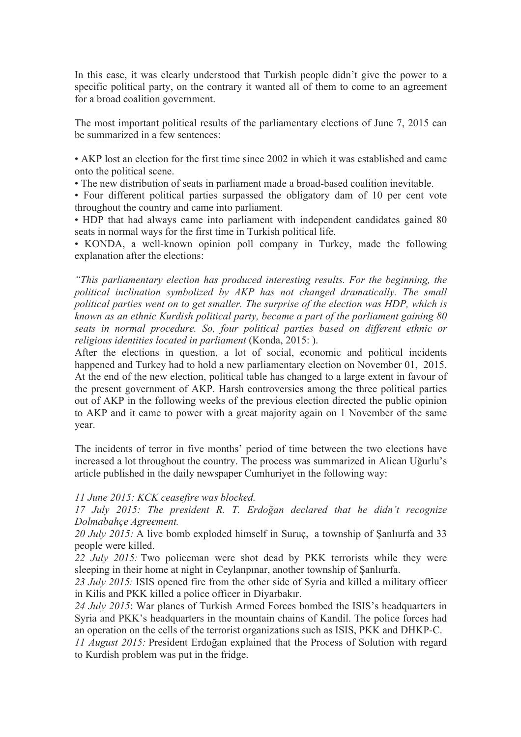In this case, it was clearly understood that Turkish people didn't give the power to a specific political party, on the contrary it wanted all of them to come to an agreement for a broad coalition government.

The most important political results of the parliamentary elections of June 7, 2015 can be summarized in a few sentences:

• AKP lost an election for the first time since 2002 in which it was established and came onto the political scene.

• The new distribution of seats in parliament made a broad-based coalition inevitable.

• Four different political parties surpassed the obligatory dam of 10 per cent vote throughout the country and came into parliament.

• HDP that had always came into parliament with independent candidates gained 80 seats in normal ways for the first time in Turkish political life.

• KONDA, a well-known opinion poll company in Turkey, made the following explanation after the elections:

*"This parliamentary election has produced interesting results. For the beginning, the political inclination symbolized by AKP has not changed dramatically. The small political parties went on to get smaller. The surprise of the election was HDP, which is known as an ethnic Kurdish political party, became a part of the parliament gaining 80 seats in normal procedure. So, four political parties based on different ethnic or religious identities located in parliament* (Konda, 2015: ).

After the elections in question, a lot of social, economic and political incidents happened and Turkey had to hold a new parliamentary election on November 01, 2015. At the end of the new election, political table has changed to a large extent in favour of the present government of AKP. Harsh controversies among the three political parties out of AKP in the following weeks of the previous election directed the public opinion to AKP and it came to power with a great majority again on 1 November of the same year.

The incidents of terror in five months' period of time between the two elections have increased a lot throughout the country. The process was summarized in Alican Uğurlu's article published in the daily newspaper Cumhuriyet in the following way:

#### *11 June 2015: KCK ceasefire was blocked.*

*17 July 2015: The president R. T. Erdoğan declared that he didn't recognize Dolmabahçe Agreement.*

*20 July 2015:* A live bomb exploded himself in Suruç, a township of Şanlıurfa and 33 people were killed.

*22 July 2015:* Two policeman were shot dead by PKK terrorists while they were sleeping in their home at night in Ceylanpınar, another township of Şanlıurfa.

*23 July 2015:* ISIS opened fire from the other side of Syria and killed a military officer in Kilis and PKK killed a police officer in Diyarbakır.

*24 July 2015*: War planes of Turkish Armed Forces bombed the ISIS's headquarters in Syria and PKK's headquarters in the mountain chains of Kandil. The police forces had an operation on the cells of the terrorist organizations such as ISIS, PKK and DHKP-C.

*11 August 2015:* President Erdoğan explained that the Process of Solution with regard to Kurdish problem was put in the fridge.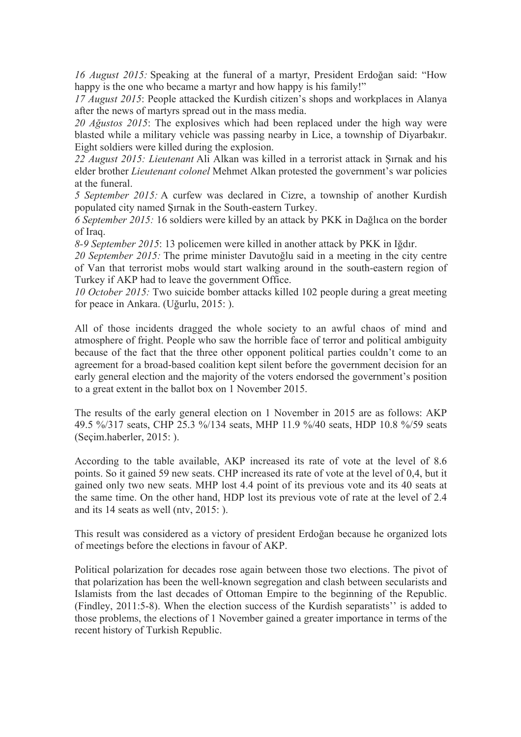*16 August 2015:* Speaking at the funeral of a martyr, President Erdoğan said: "How happy is the one who became a martyr and how happy is his family!"

*17 August 2015*: People attacked the Kurdish citizen's shops and workplaces in Alanya after the news of martyrs spread out in the mass media.

*20 Ağustos 2015*: The explosives which had been replaced under the high way were blasted while a military vehicle was passing nearby in Lice, a township of Diyarbakır. Eight soldiers were killed during the explosion.

*22 August 2015: Lieutenant* Ali Alkan was killed in a terrorist attack in Şırnak and his elder brother *Lieutenant colonel* Mehmet Alkan protested the government's war policies at the funeral.

*5 September 2015:* A curfew was declared in Cizre, a township of another Kurdish populated city named Şırnak in the South-eastern Turkey.

*6 September 2015:* 16 soldiers were killed by an attack by PKK in Dağlıca on the border of Iraq.

*8-9 September 2015*: 13 policemen were killed in another attack by PKK in Iğdır.

*20 September 2015:* The prime minister Davutoğlu said in a meeting in the city centre of Van that terrorist mobs would start walking around in the south-eastern region of Turkey if AKP had to leave the government Office.

*10 October 2015:* Two suicide bomber attacks killed 102 people during a great meeting for peace in Ankara. (Uğurlu, 2015: ).

All of those incidents dragged the whole society to an awful chaos of mind and atmosphere of fright. People who saw the horrible face of terror and political ambiguity because of the fact that the three other opponent political parties couldn't come to an agreement for a broad-based coalition kept silent before the government decision for an early general election and the majority of the voters endorsed the government's position to a great extent in the ballot box on 1 November 2015.

The results of the early general election on 1 November in 2015 are as follows: AKP 49.5 %/317 seats, CHP 25.3 %/134 seats, MHP 11.9 %/40 seats, HDP 10.8 %/59 seats (Seçim.haberler, 2015: ).

According to the table available, AKP increased its rate of vote at the level of 8.6 points. So it gained 59 new seats. CHP increased its rate of vote at the level of 0,4, but it gained only two new seats. MHP lost 4.4 point of its previous vote and its 40 seats at the same time. On the other hand, HDP lost its previous vote of rate at the level of 2.4 and its 14 seats as well (ntv, 2015: ).

This result was considered as a victory of president Erdoğan because he organized lots of meetings before the elections in favour of AKP.

Political polarization for decades rose again between those two elections. The pivot of that polarization has been the well-known segregation and clash between secularists and Islamists from the last decades of Ottoman Empire to the beginning of the Republic. (Findley, 2011:5-8). When the election success of the Kurdish separatists'' is added to those problems, the elections of 1 November gained a greater importance in terms of the recent history of Turkish Republic.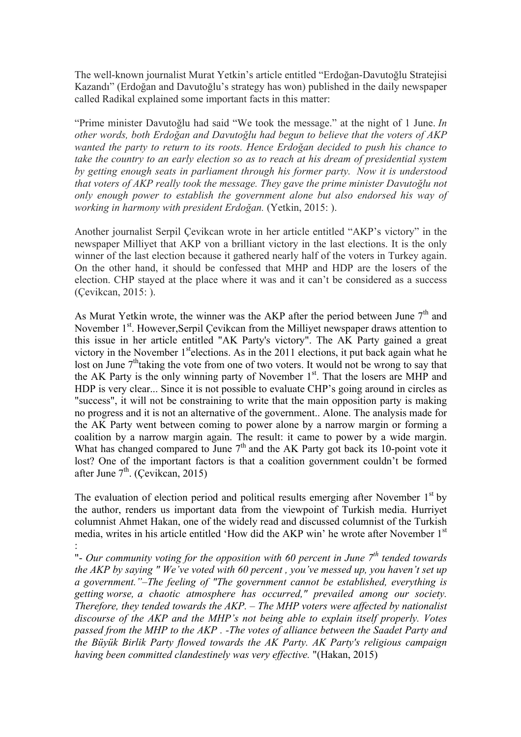The well-known journalist Murat Yetkin's article entitled "Erdoğan-Davutoğlu Stratejisi Kazandı" (Erdoğan and Davutoğlu's strategy has won) published in the daily newspaper called Radikal explained some important facts in this matter:

"Prime minister Davutoğlu had said "We took the message." at the night of 1 June. *In other words, both Erdoğan and Davutoğlu had begun to believe that the voters of AKP wanted the party to return to its roots. Hence Erdoğan decided to push his chance to take the country to an early election so as to reach at his dream of presidential system by getting enough seats in parliament through his former party. Now it is understood that voters of AKP really took the message. They gave the prime minister Davutoğlu not only enough power to establish the government alone but also endorsed his way of working in harmony with president Erdoğan.* (Yetkin, 2015: ).

Another journalist Serpil Çevikcan wrote in her article entitled "AKP's victory" in the newspaper Milliyet that AKP von a brilliant victory in the last elections. It is the only winner of the last election because it gathered nearly half of the voters in Turkey again. On the other hand, it should be confessed that MHP and HDP are the losers of the election. CHP stayed at the place where it was and it can't be considered as a success (Çevikcan, 2015: ).

As Murat Yetkin wrote, the winner was the AKP after the period between June  $7<sup>th</sup>$  and November 1<sup>st</sup>. However, Serpil Cevikcan from the Milliyet newspaper draws attention to this issue in her article entitled "AK Party's victory". The AK Party gained a great victory in the November  $1<sup>st</sup>$ elections. As in the 2011 elections, it put back again what he lost on June  $7<sup>th</sup>$  taking the vote from one of two voters. It would not be wrong to say that the AK Party is the only winning party of November  $1<sup>st</sup>$ . That the losers are MHP and HDP is very clear... Since it is not possible to evaluate CHP's going around in circles as "success", it will not be constraining to write that the main opposition party is making no progress and it is not an alternative of the government.. Alone. The analysis made for the AK Party went between coming to power alone by a narrow margin or forming a coalition by a narrow margin again. The result: it came to power by a wide margin. What has changed compared to June  $7<sup>th</sup>$  and the AK Party got back its 10-point vote it lost? One of the important factors is that a coalition government couldn't be formed after June  $7<sup>th</sup>$ . (Cevikcan, 2015)

The evaluation of election period and political results emerging after November  $1<sup>st</sup>$  by the author, renders us important data from the viewpoint of Turkish media. Hurriyet columnist Ahmet Hakan, one of the widely read and discussed columnist of the Turkish media, writes in his article entitled 'How did the AKP win' he wrote after November 1<sup>st</sup> :

"- *Our community voting for the opposition with 60 percent in June 7th tended towards the AKP by saying " We've voted with 60 percent , you've messed up, you haven't set up a government."–The feeling of "The government cannot be established, everything is getting worse, a chaotic atmosphere has occurred," prevailed among our society. Therefore, they tended towards the AKP. – The MHP voters were affected by nationalist discourse of the AKP and the MHP's not being able to explain itself properly. Votes passed from the MHP to the AKP . -The votes of alliance between the Saadet Party and the Büyük Birlik Party flowed towards the AK Party. AK Party's religious campaign having been committed clandestinely was very effective.* "(Hakan, 2015)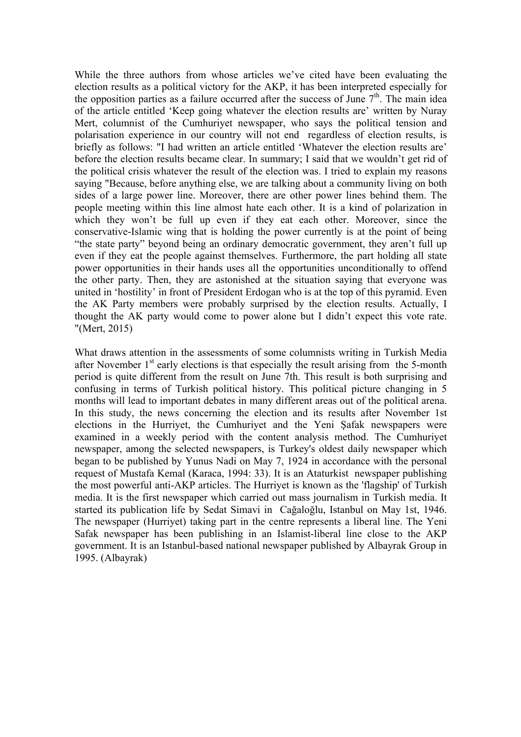While the three authors from whose articles we've cited have been evaluating the election results as a political victory for the AKP, it has been interpreted especially for the opposition parties as a failure occurred after the success of June  $7<sup>th</sup>$ . The main idea of the article entitled 'Keep going whatever the election results are' written by Nuray Mert, columnist of the Cumhuriyet newspaper, who says the political tension and polarisation experience in our country will not end regardless of election results, is briefly as follows: "I had written an article entitled 'Whatever the election results are' before the election results became clear. In summary; I said that we wouldn't get rid of the political crisis whatever the result of the election was. I tried to explain my reasons saying "Because, before anything else, we are talking about a community living on both sides of a large power line. Moreover, there are other power lines behind them. The people meeting within this line almost hate each other. It is a kind of polarization in which they won't be full up even if they eat each other. Moreover, since the conservative-Islamic wing that is holding the power currently is at the point of being "the state party" beyond being an ordinary democratic government, they aren't full up even if they eat the people against themselves. Furthermore, the part holding all state power opportunities in their hands uses all the opportunities unconditionally to offend the other party. Then, they are astonished at the situation saying that everyone was united in 'hostility' in front of President Erdogan who is at the top of this pyramid. Even the AK Party members were probably surprised by the election results. Actually, I thought the AK party would come to power alone but I didn't expect this vote rate. "(Mert, 2015)

What draws attention in the assessments of some columnists writing in Turkish Media after November  $1<sup>st</sup>$  early elections is that especially the result arising from the 5-month period is quite different from the result on June 7th. This result is both surprising and confusing in terms of Turkish political history. This political picture changing in 5 months will lead to important debates in many different areas out of the political arena. In this study, the news concerning the election and its results after November 1st elections in the Hurriyet, the Cumhuriyet and the Yeni Şafak newspapers were examined in a weekly period with the content analysis method. The Cumhuriyet newspaper, among the selected newspapers, is Turkey's oldest daily newspaper which began to be published by Yunus Nadi on May 7, 1924 in accordance with the personal request of Mustafa Kemal (Karaca, 1994: 33). It is an Ataturkist newspaper publishing the most powerful anti-AKP articles. The Hurriyet is known as the 'flagship' of Turkish media. It is the first newspaper which carried out mass journalism in Turkish media. It started its publication life by Sedat Simavi in Cağaloğlu, Istanbul on May 1st, 1946. The newspaper (Hurriyet) taking part in the centre represents a liberal line. The Yeni Safak newspaper has been publishing in an Islamist-liberal line close to the AKP government. It is an Istanbul-based national newspaper published by Albayrak Group in 1995. (Albayrak)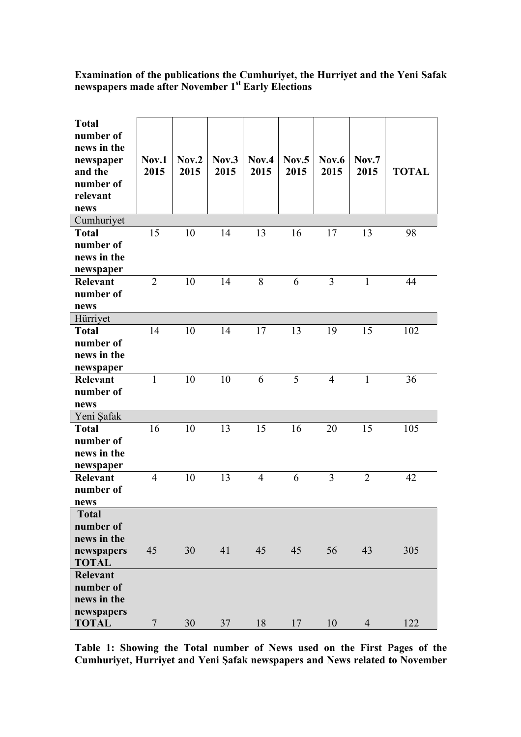## **Examination of the publications the Cumhuriyet, the Hurriyet and the Yeni Safak newspapers made after November 1st Early Elections**

| <b>Total</b><br>number of<br>news in the<br>newspaper<br>and the<br>number of<br>relevant<br>news | Nov.1<br>2015  | Nov.2<br>2015 | Nov.3<br>2015 | Nov.4<br>2015  | Nov.5<br>2015 | Nov.6<br>2015  | Nov.7<br>2015  | <b>TOTAL</b> |
|---------------------------------------------------------------------------------------------------|----------------|---------------|---------------|----------------|---------------|----------------|----------------|--------------|
| Cumhuriyet                                                                                        |                |               |               |                |               |                |                |              |
| <b>Total</b><br>number of<br>news in the<br>newspaper                                             | 15             | 10            | 14            | 13             | 16            | 17             | 13             | 98           |
| <b>Relevant</b><br>number of<br>news                                                              | $\overline{2}$ | 10            | 14            | 8              | 6             | 3              | $\mathbf{1}$   | 44           |
| Hürriyet                                                                                          |                |               |               |                |               |                |                |              |
| <b>Total</b><br>number of<br>news in the<br>newspaper                                             | 14             | 10            | 14            | 17             | 13            | 19             | 15             | 102          |
| <b>Relevant</b><br>number of<br>news                                                              | 1              | 10            | 10            | 6              | 5             | $\overline{4}$ | $\mathbf{1}$   | 36           |
| Yeni Şafak                                                                                        |                |               |               |                |               |                |                |              |
| <b>Total</b><br>number of<br>news in the<br>newspaper                                             | 16             | 10            | 13            | 15             | 16            | 20             | 15             | 105          |
| <b>Relevant</b><br>number of<br>news                                                              | $\overline{4}$ | 10            | 13            | $\overline{4}$ | 6             | 3              | $\overline{2}$ | 42           |
| <b>Total</b><br>number of<br>news in the                                                          |                |               |               |                |               |                |                |              |
| newspapers<br><b>TOTAL</b>                                                                        | 45             | 30            | 41            | 45             | 45            | 56             | 43             | 305          |
| <b>Relevant</b><br>number of<br>news in the<br>newspapers                                         |                |               |               |                |               |                |                |              |
| <b>TOTAL</b>                                                                                      | $\overline{7}$ | 30            | 37            | 18             | 17            | 10             | $\overline{4}$ | 122          |

**Table 1: Showing the Total number of News used on the First Pages of the Cumhuriyet, Hurriyet and Yeni Şafak newspapers and News related to November**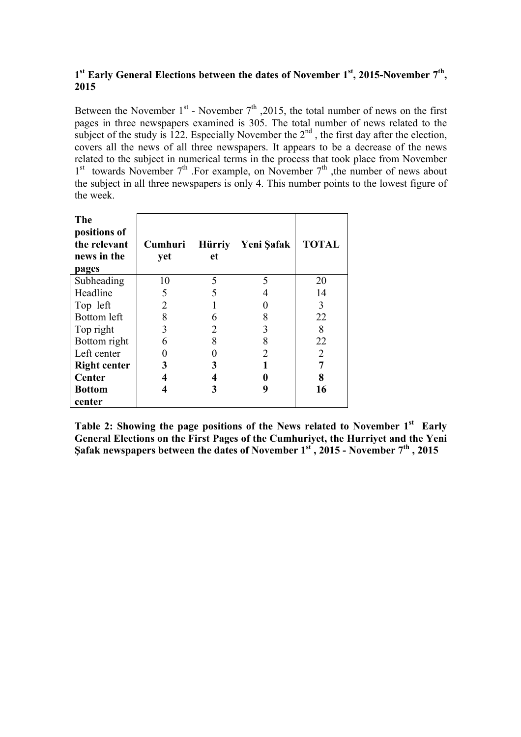# **1st Early General Elections between the dates of November 1st, 2015-November 7th, 2015**

Between the November  $1^{st}$  - November  $7^{th}$ , 2015, the total number of news on the first pages in three newspapers examined is 305. The total number of news related to the subject of the study is 122. Especially November the  $2<sup>nd</sup>$ , the first day after the election, covers all the news of all three newspapers. It appears to be a decrease of the news related to the subject in numerical terms in the process that took place from November  $1<sup>st</sup>$  towards November  $7<sup>th</sup>$ . For example, on November  $7<sup>th</sup>$ , the number of news about the subject in all three newspapers is only 4. This number points to the lowest figure of the week.

| The<br>positions of<br>the relevant<br>news in the<br>pages | Cumhuri<br>yet | <b>Hürriy</b><br>et | Yeni Şafak     | <b>TOTAL</b>   |
|-------------------------------------------------------------|----------------|---------------------|----------------|----------------|
| Subheading                                                  | 10             | 5                   | 5              | 20             |
| Headline                                                    | 5              | 5                   |                | 14             |
| Top left                                                    | 2              |                     |                | 3              |
| Bottom left                                                 | 8              | 6                   | 8              | 22             |
| Top right                                                   | 3              | $\overline{2}$      | 3              | 8              |
| Bottom right                                                | 6              | 8                   | 8              | 22             |
| Left center                                                 |                |                     | $\overline{2}$ | $\overline{2}$ |
| <b>Right center</b>                                         | 3              | 3                   |                |                |
| Center                                                      |                | 4                   | 0              | 8              |
| <b>Bottom</b>                                               |                | 3                   | 9              | 16             |
| center                                                      |                |                     |                |                |

**Table 2: Showing the page positions of the News related to November 1st Early General Elections on the First Pages of the Cumhuriyet, the Hurriyet and the Yeni Şafak newspapers between the dates of November 1st , 2015 - November 7th , 2015**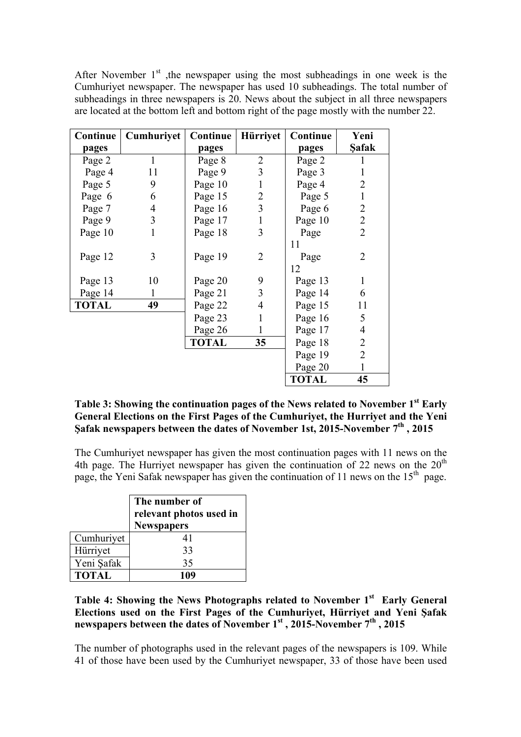After November  $1<sup>st</sup>$ , the newspaper using the most subheadings in one week is the Cumhuriyet newspaper. The newspaper has used 10 subheadings. The total number of subheadings in three newspapers is 20. News about the subject in all three newspapers are located at the bottom left and bottom right of the page mostly with the number 22.

| Continue     | Cumhuriyet   | Continue     | Hürriyet       | Continue     | Yeni           |
|--------------|--------------|--------------|----------------|--------------|----------------|
| pages        |              | pages        |                | pages        | <b>Safak</b>   |
| Page 2       |              | Page 8       | $\overline{2}$ | Page 2       |                |
| Page 4       | 11           | Page 9       | $\overline{3}$ | Page 3       | 1              |
| Page 5       | 9            | Page 10      | $\mathbf{1}$   | Page 4       | $\overline{2}$ |
| Page 6       | 6            | Page 15      | $\overline{2}$ | Page 5       | $\mathbf{1}$   |
| Page 7       | 4            | Page 16      | 3              | Page 6       | $\overline{2}$ |
| Page 9       | 3            | Page 17      | $\mathbf{1}$   | Page 10      | $\overline{2}$ |
| Page 10      | $\mathbf{1}$ | Page 18      | 3              | Page         | $\overline{2}$ |
|              |              |              |                | 11           |                |
| Page 12      | 3            | Page 19      | $\overline{2}$ | Page         | $\overline{2}$ |
|              |              |              |                | 12           |                |
| Page 13      | 10           | Page 20      | 9              | Page 13      | $\mathbf{1}$   |
| Page 14      | 1            | Page 21      | 3              | Page 14      | 6              |
| <b>TOTAL</b> | 49           | Page 22      | 4              | Page 15      | 11             |
|              |              | Page 23      | $\mathbf{1}$   | Page 16      | 5              |
|              |              | Page 26      | $\mathbf{1}$   | Page 17      | $\overline{4}$ |
|              |              | <b>TOTAL</b> | 35             | Page 18      | $\overline{2}$ |
|              |              |              |                | Page 19      | $\overline{2}$ |
|              |              |              |                | Page 20      | $\mathbf{1}$   |
|              |              |              |                | <b>TOTAL</b> | 45             |

**Table 3: Showing the continuation pages of the News related to November 1st Early General Elections on the First Pages of the Cumhuriyet, the Hurriyet and the Yeni Şafak newspapers between the dates of November 1st, 2015-November 7th , 2015** 

The Cumhuriyet newspaper has given the most continuation pages with 11 news on the 4th page. The Hurriyet newspaper has given the continuation of 22 news on the  $20<sup>th</sup>$ page, the Yeni Safak newspaper has given the continuation of 11 news on the 15<sup>th</sup> page.

|              | The number of<br>relevant photos used in<br><b>Newspapers</b> |  |  |  |
|--------------|---------------------------------------------------------------|--|--|--|
| Cumhuriyet   | 41                                                            |  |  |  |
| Hürriyet     | 33                                                            |  |  |  |
| Yeni Şafak   | 35                                                            |  |  |  |
| <b>TOTAL</b> | 109                                                           |  |  |  |

**Table 4: Showing the News Photographs related to November 1st Early General Elections used on the First Pages of the Cumhuriyet, Hürriyet and Yeni Şafak newspapers between the dates of November 1st , 2015-November 7th , 2015** 

The number of photographs used in the relevant pages of the newspapers is 109. While 41 of those have been used by the Cumhuriyet newspaper, 33 of those have been used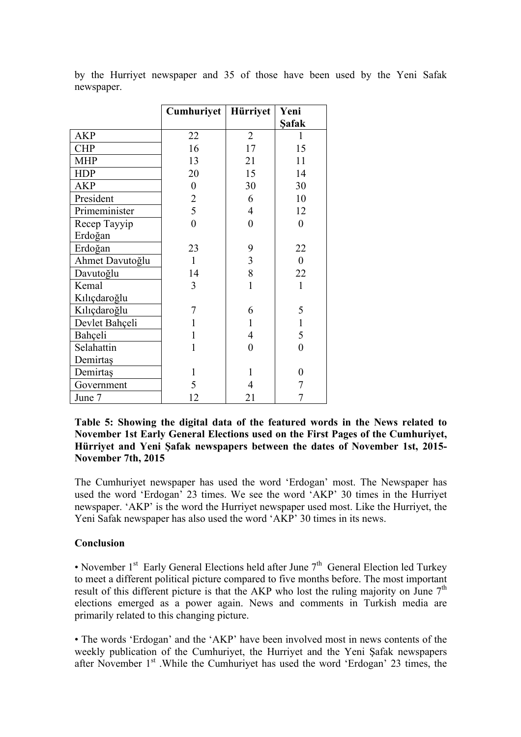|                 | Cumhuriyet       | Hürriyet                | Yeni             |
|-----------------|------------------|-------------------------|------------------|
|                 |                  |                         | <b>Safak</b>     |
| <b>AKP</b>      | 22               | $\overline{2}$          | 1                |
| <b>CHP</b>      | 16               | 17                      | 15               |
| <b>MHP</b>      | 13               | 21                      | 11               |
| <b>HDP</b>      | 20               | 15                      | 14               |
| <b>AKP</b>      | $\boldsymbol{0}$ | 30                      | 30               |
| President       | $\overline{2}$   | 6                       | 10               |
| Primeminister   | 5                | 4                       | 12               |
| Recep Tayyip    | $\overline{0}$   | $\overline{0}$          | $\boldsymbol{0}$ |
| Erdoğan         |                  |                         |                  |
| Erdoğan         | 23               | 9                       | 22               |
| Ahmet Davutoğlu | $\mathbf{1}$     | $\overline{\mathbf{3}}$ | $\boldsymbol{0}$ |
| Davutoğlu       | 14               | 8                       | 22               |
| Kemal           | 3                | $\mathbf{1}$            | $\mathbf{1}$     |
| Kılıçdaroğlu    |                  |                         |                  |
| Kılıçdaroğlu    | 7                | 6                       | 5                |
| Devlet Bahçeli  | $\mathbf{1}$     | 1                       | $\mathbf{1}$     |
| Bahçeli         | $\mathbf{1}$     | 4                       | 5                |
| Selahattin      | 1                | 0                       | $\overline{0}$   |
| Demirtaş        |                  |                         |                  |
| Demirtaş        | 1                | 1                       | 0                |
| Government      | 5                | 4                       | 7                |
| June 7          | 12               | 21                      |                  |

by the Hurriyet newspaper and 35 of those have been used by the Yeni Safak newspaper.

## **Table 5: Showing the digital data of the featured words in the News related to November 1st Early General Elections used on the First Pages of the Cumhuriyet, Hürriyet and Yeni Şafak newspapers between the dates of November 1st, 2015- November 7th, 2015**

The Cumhuriyet newspaper has used the word 'Erdogan' most. The Newspaper has used the word 'Erdogan' 23 times. We see the word 'AKP' 30 times in the Hurriyet newspaper. 'AKP' is the word the Hurriyet newspaper used most. Like the Hurriyet, the Yeni Safak newspaper has also used the word 'AKP' 30 times in its news.

# **Conclusion**

• November  $1<sup>st</sup>$  Early General Elections held after June  $7<sup>th</sup>$  General Election led Turkey to meet a different political picture compared to five months before. The most important result of this different picture is that the AKP who lost the ruling majority on June  $7<sup>th</sup>$ elections emerged as a power again. News and comments in Turkish media are primarily related to this changing picture.

• The words 'Erdogan' and the 'AKP' have been involved most in news contents of the weekly publication of the Cumhuriyet, the Hurriyet and the Yeni Şafak newspapers after November  $1<sup>st</sup>$ . While the Cumhuriyet has used the word 'Erdogan' 23 times, the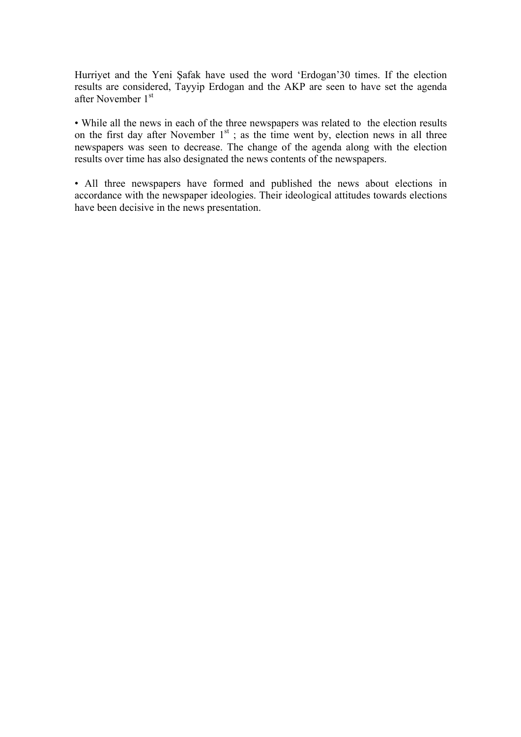Hurriyet and the Yeni Şafak have used the word 'Erdogan'30 times. If the election results are considered, Tayyip Erdogan and the AKP are seen to have set the agenda after November 1<sup>st</sup>

• While all the news in each of the three newspapers was related to the election results on the first day after November  $1<sup>st</sup>$ ; as the time went by, election news in all three newspapers was seen to decrease. The change of the agenda along with the election results over time has also designated the news contents of the newspapers.

• All three newspapers have formed and published the news about elections in accordance with the newspaper ideologies. Their ideological attitudes towards elections have been decisive in the news presentation.